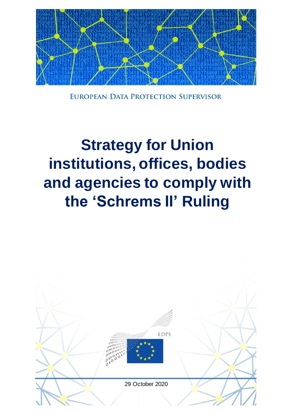

EUROPEAN DATA PROTECTION SUPERVISOR

# **Strategy for Union** institutions, offices, bodies and agencies to comply with the 'Schrems II' Ruling

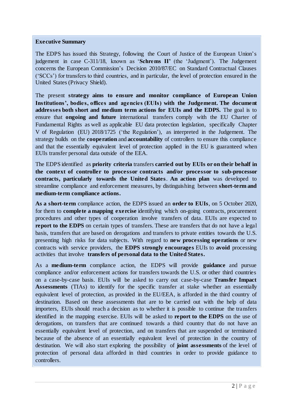#### **Executive Summary**

The EDPS has issued this Strategy, following the Court of Justice of the European Union's judgement in case C-311/18, known as '**Schrems II'** (the 'Judgment'). The Judgement concerns the European Commission's Decision 2010/87/EC on Standard Contractual Clauses ('SCCs') for transfers to third countries, and in particular, the level of protection ensured in the United States (Privacy Shield).

The present **strategy aims to ensure and monitor compliance of European Union Institutions', bodies, offices and agencies (EUIs) with the Judgement. The document addresses both short and medium term actions for EUIs and the EDPS.** The goal is to ensure that **ongoing and future** international transfers comply with the EU Charter of Fundamental Rights as well as applicable EU data protection legislation, specifically Chapter V of Regulation (EU) 2018/1725 ('the Regulation'), as interpreted in the Judgement. The strategy builds on the **cooperation** and **accountability** of controllers to ensure this compliance and that the essentially equivalent level of protection applied in the EU is guaranteed when EUIs transfer personal data outside of the EEA.

The EDPS identified as **priority criteria** transfers **carried out by EUIs or on their behalf in the context of controller to processor contracts and/or processor to sub-processor contracts, particularly towards the United States**. **An action plan** was developed to streamline compliance and enforcement measures, by distinguishing between **short-term and medium-term compliance actions.**

**As a short-term** compliance action, the EDPS issued an **order to EUIs**, on 5 October 2020, for them to **complete a mapping exercise** identifying which on-going contracts, procurement procedures and other types of cooperation involve transfers of data. EUIs are expected to **report to the EDPS** on certain types of transfers. These are transfers that do not have a legal basis, transfers that are based on derogations and transfers to private entities towards the U.S. presenting high risks for data subjects. With regard to **new processing operations** or new contracts with service providers, the **EDPS strongly encourage s** EUIs to **avoid** processing activities that involve **transfers of personal data to the United States.** 

As a **medium-term** compliance action, the EDPS will provide **guidance** and pursue compliance and/or enforcement actions for transfers towards the U.S. or other third countries on a case-by-case basis. EUIs will be asked to carry out case-by-case **Transfer Impact Assessments** (TIAs) to identify for the specific transfer at stake whether an essentially equivalent level of protection, as provided in the EU/EEA, is afforded in the third country of destination. Based on these assessments that are to be carried out with the help of data importers, EUIs should reach a decision as to whether it is possible to continue the transfers identified in the mapping exercise. EUIs will be asked to **report to the EDPS** on the use of derogations, on transfers that are continued towards a third country that do not have an essentially equivalent level of protection, and on transfers that are suspended or terminated because of the absence of an essentially equivalent level of protection in the country of destination. We will also start exploring the possibility of **joint assessments** of the level of protection of personal data afforded in third countries in order to provide guidance to controllers.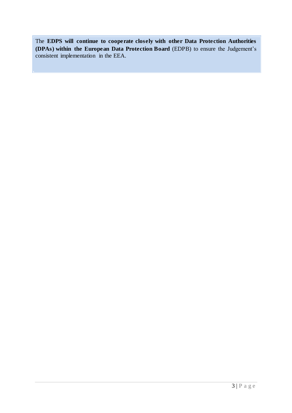The **EDPS will continue to cooperate closely with other Data Protection Authorities (DPAs) within the European Data Protection Board** (EDPB) to ensure the Judgement's consistent implementation in the EEA.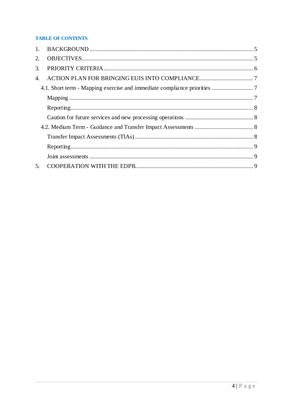### **TABLE OF CONTENTS**

| $1_{-}$ |  |
|---------|--|
| 2.      |  |
| 3.      |  |
| 4.      |  |
|         |  |
|         |  |
|         |  |
|         |  |
|         |  |
|         |  |
|         |  |
|         |  |
| 5.      |  |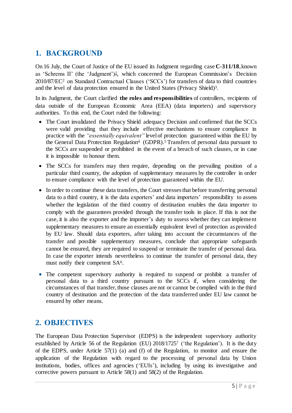# <span id="page-4-0"></span>**1. BACKGROUND**

On 16 July, the Court of Justice of the EU issued its [Judgment](http://curia.europa.eu/juris/document/document.jsf?text=&docid=228677&pageIndex=0&doclang=en&mode=req&dir=&occ=first&part=1&cid=10728812) regarding case **C-311/18**, known as 'Schrems II' (the 'Judgment')<sup>1</sup>, which concerned the European Commission's Decision 2010/87/EC<sup>2</sup> on Standard Contractual Clauses ('SCCs') for transfers of data to third countries and the level of data protection ensured in the United States (Privacy Shield)<sup>3</sup>.

In its Judgment, the Court clarified **the roles and responsibilities** of controllers, recipients of data outside of the European Economic Area (EEA) (data importers) and supervisory authorities. To this end, the Court ruled the following:

- The Court invalidated the Privacy Shield adequacy Decision and confirmed that the SCCs were valid providing that they include effective mechanisms to ensure compliance in practice with the *"essentially equivalent"* level of protection guaranteed within the EU by the General Data Protection Regulation<sup>4</sup> (GDPR).<sup>5</sup> Transfers of personal data pursuant to the SCCs are suspended or prohibited in the event of a breach of such clauses, or in case it is impossible to honour them.
- The SCCs for transfers may then require, depending on the prevailing position of a particular third country, the adoption of supplementary measures by the controller in order to ensure compliance with the level of protection guaranteed within the EU.
- In order to continue these data transfers, the Court stresses that before transferring personal data to a third country, it is the data exporters' and data importers' responsibility to assess whether the legislation of the third country of destination enables the data importer to comply with the guarantees provided through the transfer tools in place. If this is not the case, it is also the exporter and the importer's duty to assess whether they can implement supplementary measures to ensure an essentially equivalent level of protection as provided by EU law. Should data exporters, after taking into account the circumstances of the transfer and possible supplementary measures, conclude that appropriate safeguards cannot be ensured, they are required to suspend or terminate the transfer of personal data. In case the exporter intends nevertheless to continue the transfer of personal data, they must notify their competent SA<sup>6</sup>.
- The competent supervisory authority is required to suspend or prohibit a transfer of personal data to a third country pursuant to the SCCs if, when considering the circumstances of that transfer, those clauses are not or cannot be complied with in the third country of destination and the protection of the data transferred under EU law cannot be ensured by other means.

# <span id="page-4-1"></span>**2. OBJECTIVES**

The European Data Protection Supervisor (EDPS) is the independent supervisory authority established by Article 56 of the Regulation (EU) 2018/1725<sup>7</sup> ('the Regulation'). It is the duty of the EDPS, under Article 57(1) (a) and (f) of the Regulation, to monitor and ensure the application of the Regulation with regard to the processing of personal data by Union institutions, bodies, offices and agencies ('EUIs'), including by using its investigative and corrective powers pursuant to Article 58(1) and 58(2) of the Regulation.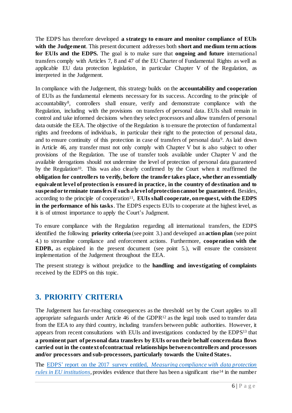The EDPS has therefore developed **a strategy to ensure and monitor compliance of EUIs with the Judgement**. This present document addresses both **short and medium term actions for EUIs and the EDPS.** The goal is to make sure that **ongoing and future** international transfers comply with Articles 7, 8 and 47 of the EU Charter of Fundamental Rights as well as applicable EU data protection legislation, in particular Chapter V of the Regulation, as interpreted in the Judgement.

In compliance with the Judgement, this strategy builds on the **accountability and cooperation** of EUIs as the fundamental elements necessary for its success. According to the principle of accountability<sup>8</sup> , controllers shall ensure, verify and demonstrate compliance with the Regulation, including with the provisions on transfers of personal data. EUIs shall remain in control and take informed decisions when they select processors and allow transfers of personal data outside the EEA. The objective of the Regulation is to ensure the protection of fundamental rights and freedoms of individuals, in particular their right to the protection of personal data, and to ensure continuity of this protection in case of transfers of personal data<sup>9</sup>. As laid down in Article 46, any transfer must not only comply with Chapter V but is also subject to other provisions of the Regulation. The use of transfer tools available under Chapter V and the available derogations should not undermine the level of protection of personal data guaranteed by the Regulation<sup>10</sup>. This was also clearly confirmed by the Court when it reaffirmed the **obligation for controllers to verify, before the transfer takes place, whether an essentially equivalent level of protection is ensured in practice, in the country of destination and to suspend or terminate transfers if such a level of protection cannot be guaranteed.** Besides, according to the principle of cooperation<sup>11</sup>, **EUIs shall cooperate, on request, with the EDPS in the performance of his tasks**. The EDPS expects EUIs to cooperate at the highest level, as it is of utmost importance to apply the Court's Judgment.

To ensure compliance with the Regulation regarding all international transfers, the EDPS identified the following **priority criteria** (see point 3.) and developed an **action plan** (see point 4.) to streamline compliance and enforcement actions. Furthermore, **cooperation with the EDPB,** as explained in the present document (see point 5.), will ensure the consistent implementation of the Judgement throughout the EEA.

The present strategy is without prejudice to the **handling and investigating of complaints** received by the EDPS on this topic.

# <span id="page-5-0"></span>**3. PRIORITY CRITERIA**

The Judgement has far-reaching consequences as the threshold set by the Court applies to all appropriate safeguards under Article 46 of the GDPR $^{12}$  as the legal tools used to transfer data from the EEA to any third country, including transfers between public authorities. However, it appears from recent consultations with EUIs and investigations conducted by the EDPS<sup>13</sup> that **a prominent part of personal data transfers by EUIs or on their behalf concern data flows carried out in the context of contractual relationships between controllers and processors and/or processors and sub-processors, particularly towards the United States.** 

The EDPS' report on the 2017 survey entitled, *[Measuring compliance with data protection](https://edps.europa.eu/sites/edp/files/publication/17-11-27_survey_2017-0130_en.pdf)  [rules in EU institutions](https://edps.europa.eu/sites/edp/files/publication/17-11-27_survey_2017-0130_en.pdf)*, provides evidence that there has been a significant rise<sup>14</sup> in the number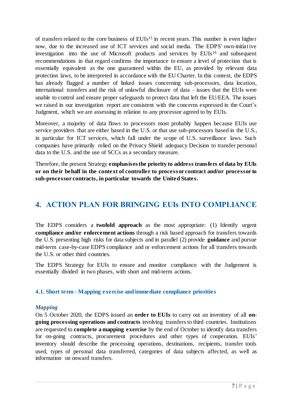of transfers related to the core business of EUIs <sup>15</sup> in recent years. This number is even higher now, due to the increased use of ICT services and social media. The EDPS' own-initiative investigation into the use of Microsoft products and services by EUIs<sup>16</sup> and subsequent recommendations in that regard confirms the importance to ensure a level of protection that is essentially equivalent as the one guaranteed within the EU, as provided by relevant data protection laws, to be interpreted in accordance with the EU Charter. In this context, the EDPS has already flagged a number of linked issues concerning sub-processors, data location, international transfers and the risk of unlawful disclosure of data – issues that the EUIs were unable to control and ensure proper safeguards to protect data that left the EU/EEA. The issues we raised in our investigation report are consistent with the concerns expressed in the Court's Judgment, which we are assessing in relation to any processor agreed to by EUIs.

Moreover, a majority of data flows to processors most probably happen because EUIs use service providers that are either based in the U.S. or that use sub-processors based in the U.S., in particular for ICT services, which fall under the scope of U.S. surveillance laws. Such companies have primarily relied on the Privacy Shield adequacy Decision to transfer personal data to the U.S. and the use of SCCs as a secondary measure.

Therefore, the present Strategy **emphasises the priority to address transfers of data by EUIs or on their behalf in the context of controller to processor contract and/or processor to sub-processor contracts, in particular towards the United States.**

# <span id="page-6-0"></span>**4. ACTION PLAN FOR BRINGING EUIs INTO COMPLIANCE**

The EDPS considers a **twofold approach** as the most appropriate: (1) Identify urgent **compliance and/or enforcement actions** through a risk based approach for transfers towards the U.S. presenting high risks for data subjects and in parallel (2) provide **guidance** and pursue mid-term case-by-case EDPS compliance and or enforcement actions for all transfers towards the U.S. or other third countries.

The EDPS Strategy for EUIs to ensure and monitor compliance with the Judgement is essentially divided in two phases, with short and mid-term actions.

#### <span id="page-6-1"></span>**4.1. Short term - Mapping exercise and immediate compliance priorities**

#### <span id="page-6-2"></span>*Mapping*

On 5 October 2020, the EDPS issued an **order to EUIs** to carry out an inventory of all **ongoing processing operations and contracts** involving transfers to third countries. Institutions are requested to **complete a mapping exercise** by the end of October to identify data transfers for on-going contracts, procurement procedures and other types of cooperation. EUIs' inventory should describe the processing operations, destinations, recipients, transfer tools used, types of personal data transferred, categories of data subjects affected, as well as information on onward transfers.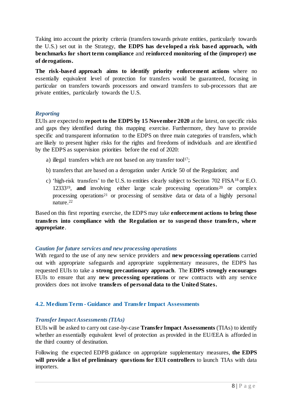Taking into account the priority criteria (transfers towards private entities, particularly towards the U.S.) set out in the Strategy, **the EDPS has developed a risk based approach, with benchmarks for short term compliance** and **reinforced monitoring of the (improper) use of derogations.**

**The risk-based approach aims to identify priority enforcement actions** where no essentially equivalent level of protection for transfers would be guaranteed, focusing in particular on transfers towards processors and onward transfers to sub-processors that are private entities, particularly towards the U.S.

#### <span id="page-7-0"></span>*Reporting*

EUIs are expected to **report to the EDPS by 15 November 2020** at the latest, on specific risks and gaps they identified during this mapping exercise. Furthermore, they have to provide specific and transparent information to the EDPS on three main categories of transfers, which are likely to present higher risks for the rights and freedoms of individuals and are identified by the EDPS as supervision priorities before the end of 2020:

- a) illegal transfers which are not based on any transfer tool<sup>17</sup>;
- b) transfers that are based on a derogation under Article 50 of the Regulation; and
- c) 'high-risk transfers' to the U.S. to entities clearly subject to Section 702 FISA<sup>18</sup> or E.O. 12333<sup>19</sup>, and involving either large scale processing operations<sup>20</sup> or complex processing operations<sup>21</sup> or processing of sensitive data or data of a highly personal nature.<sup>22</sup>

Based on this first reporting exercise, the EDPS may take **enforcement actions to bring those transfers into compliance with the Regulation or to suspend those transfers, where appropriate**.

#### <span id="page-7-1"></span>*Caution for future services and new processing operations*

With regard to the use of any new service providers and **new processing operations** carried out with appropriate safeguards and appropriate supplementary measures, the EDPS has requested EUIs to take a **strong precautionary approach**. The **EDPS strongly encourages** EUIs to ensure that any **new processing operations** or new contracts with any service providers does not involve **transfers of personal data to the United States.** 

## <span id="page-7-2"></span>**4.2. Medium Term - Guidance and Transfer Impact Assessments**

## <span id="page-7-3"></span>*Transfer Impact Assessments (TIAs)*

EUIs will be asked to carry out case-by-case **Transfer Impact Assessments** (TIAs) to identify whether an essentially equivalent level of protection as provided in the EU/EEA is afforded in the third country of destination.

Following the expected EDPB guidance on appropriate supplementary measures, **the EDPS will provide a list of preliminary questions for EUI controllers** to launch TIAs with data importers.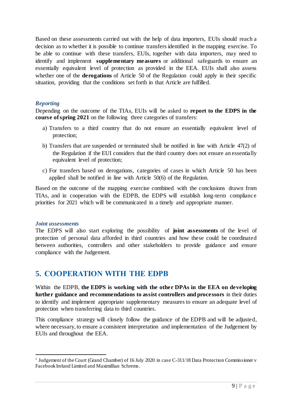Based on these assessments carried out with the help of data importers, EUIs should reach a decision as to whether it is possible to continue transfers identified in the mapping exercise. To be able to continue with these transfers, EUIs, together with data importers, may need to identify and implement **supplementary measures** or additional safeguards to ensure an essentially equivalent level of protection as provided in the EEA. EUIs shall also assess whether one of the **derogations** of Article 50 of the Regulation could apply in their specific situation, providing that the conditions set forth in that Article are fulfilled.

#### <span id="page-8-0"></span>*Reporting*

Depending on the outcome of the TIAs, EUIs will be asked to **report to the EDPS in the course of spring 2021** on the following three categories of transfers:

- a) Transfers to a third country that do not ensure an essentially equivalent level of protection;
- b) Transfers that are suspended or terminated shall be notified in line with Article 47(2) of the Regulation if the EUI considers that the third country does not ensure an essentially equivalent level of protection;
- c) For transfers based on derogations, categories of cases in which Article 50 has been applied shall be notified in line with Article 50(6) of the Regulation.

Based on the outcome of the mapping exercise combined with the conclusions drawn from TIAs, and in cooperation with the EDPB, the EDPS will establish long-term compliance priorities for 2021 which will be communicated in a timely and appropriate manner.

#### <span id="page-8-1"></span>*Joint assessments*

l

The EDPS will also start exploring the possibility of **joint assessments** of the level of protection of personal data afforded in third countries and how these could be coordinated between authorities, controllers and other stakeholders to provide guidance and ensure compliance with the Judgement.

## <span id="page-8-2"></span>**5. COOPERATION WITH THE EDPB**

Within the EDPB, **the EDPS is working with the other DPAs in the EEA on developing further guidance and recommendations to assist controllers and processors** in their duties to identify and implement appropriate supplementary measures to ensure an adequate level of protection when transferring data to third countries.

This compliance strategy will closely follow the guidance of the EDPB and will be adjusted, where necessary, to ensure a consistent interpretation and implementation of the Judgement by EUIs and throughout the EEA.

<sup>&</sup>lt;sup>1</sup> Judgement of the Court (Grand Chamber) of 16 July 2020 in case C-311/18 Data Protection Commissioner v Facebook Ireland Limited and Maximillian Schrems.